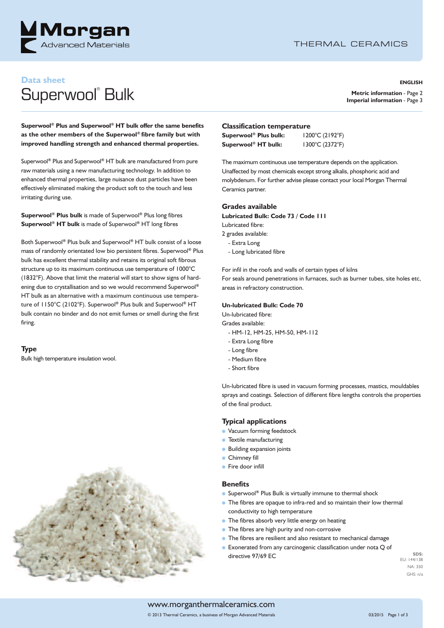

# **Data sheet**

# Superwool<sup>®</sup> Bulk

#### **ENGLISH**

**Metric information** - Page 2 **Imperial information** - Page 3

**Superwool ® Plus and Superwool ® HT bulk offer the same benefits as the other members of the Superwool ® fibre family but with improved handling strength and enhanced thermal properties.**

Superwool **®** Plus and Superwool **®** HT bulk are manufactured from pure raw materials using a new manufacturing technology. In addition to enhanced thermal properties, large nuisance dust particles have been effectively eliminated making the product soft to the touch and less irritating during use.

**Superwool ® Plus bulk** is made of Superwool **®** Plus long fibres **Superwool ® HT bulk** is made of Superwool **®** HT long fibres

Both Superwool **®** Plus bulk and Superwool **®** HT bulk consist of a loose mass of randomly orientated low bio persistent fibres. Superwool **®** Plus bulk has excellent thermal stability and retains its original soft fibrous structure up to its maximum continuous use temperature of 1000°C (1832°F). Above that limit the material will start to show signs of hardening due to crystallisation and so we would recommend Superwool **®** HT bulk as an alternative with a maximum continuous use temperature of 1150°C (2102°F). Superwool **®** Plus bulk and Superwool **®** HT bulk contain no binder and do not emit fumes or smell during the first firing.

#### **Type**

Bulk high temperature insulation wool.



#### **Classification temperature**

| Superwool <sup>®</sup> Plus bulk: | 1200°C (2192°F) |
|-----------------------------------|-----------------|
| Superwool® HT bulk:               | 1300°C (2372°F) |

The maximum continuous use temperature depends on the application. Unaffected by most chemicals except strong alkalis, phosphoric acid and molybdenum. For further advise please contact your local Morgan Thermal Ceramics partner.

#### **Grades available**

**Lubricated Bulk: Code 73 / Code 111**

Lubricated fibre:

- 2 grades available:
	- Extra Long
	- Long lubricated fibre

For infil in the roofs and walls of certain types of kilns

For seals around penetrations in furnaces, such as burner tubes, site holes etc, areas in refractory construction.

#### **Un-lubricated Bulk: Code 70**

Un-lubricated fibre:

Grades available:

- HM-12, HM-25, HM-50, HM-112
- Extra Long fibre
- Long fibre
- Medium fibre
- Short fibre

Un-lubricated fibre is used in vacuum forming processes, mastics, mouldables sprays and coatings. Selection of different fibre lengths controls the properties of the final product.

#### **Typical applications**

- **l** Vacuum forming feedstock
- **l** Textile manufacturing
- *Building expansion joints*
- **l** Chimney fill
- **l** Fire door infill

#### **Benefits**

- **•** Superwool® Plus Bulk is virtually immune to thermal shock
- **l** The fibres are opaque to infra-red and so maintain their low thermal conductivity to high temperature
- **l** The fibres absorb very little energy on heating
- **l** The fibres are high purity and non-corrosive
- **l** The fibres are resilient and also resistant to mechanical damage
- **Exonerated from any carcinogenic classification under nota Q of** directive 97/69 EC

**SDS:** EU: 144/138 NA: 350 GHS: n/a

#### www.morganthermalceramics.com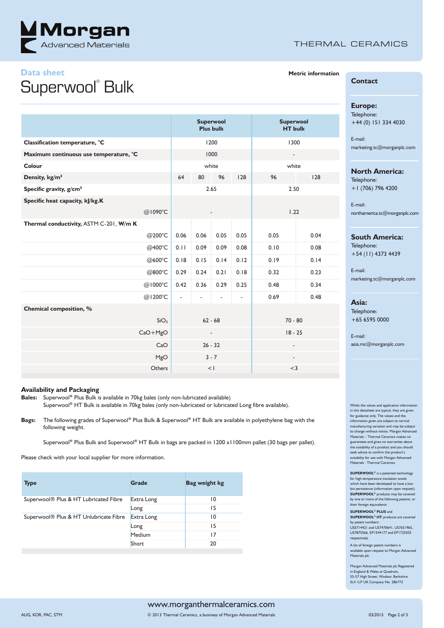

### THERMAL CERAMICS

# **Data sheet** Superwool<sup>®</sup> Bulk

|                                         |                  | <b>Superwool</b><br><b>Plus bulk</b> |      |                |                          | <b>Superwool</b><br><b>HT</b> bulk |      |
|-----------------------------------------|------------------|--------------------------------------|------|----------------|--------------------------|------------------------------------|------|
| Classification temperature, °C          |                  | 1200                                 |      |                |                          | 1300                               |      |
| Maximum continuous use temperature, °C  |                  | 1000                                 |      |                |                          | $\overline{\phantom{a}}$           |      |
| Colour                                  |                  | white                                |      |                |                          | white                              |      |
| Density, kg/m <sup>3</sup>              |                  | 64                                   | 80   | 96             | 128                      | 96                                 | 128  |
| Specific gravity, g/cm <sup>3</sup>     |                  | 2.65                                 |      |                |                          | 2.50                               |      |
| Specific heat capacity, kJ/kg.K         |                  |                                      |      |                |                          |                                    |      |
| @1090°C                                 |                  |                                      |      |                |                          | 1.22                               |      |
| Thermal conductivity, ASTM C-201, W/m K |                  |                                      |      |                |                          |                                    |      |
|                                         | @200°C           | 0.06                                 | 0.06 | 0.05           | 0.05                     | 0.05                               | 0.04 |
|                                         | @400°C           | 0.11                                 | 0.09 | 0.09           | 0.08                     | 0.10                               | 0.08 |
|                                         | @600°C           | 0.18                                 | 0.15 | 0.14           | 0.12                     | 0.19                               | 0.14 |
|                                         | @800°C           | 0.29                                 | 0.24 | 0.21           | 0.18                     | 0.32                               | 0.23 |
| @1000°C                                 |                  | 0.42                                 | 0.36 | 0.29           | 0.25                     | 0.48                               | 0.34 |
| @1200°C                                 |                  | $\overline{a}$                       | ÷.   | $\blacksquare$ | $\overline{\phantom{a}}$ | 0.69                               | 0.48 |
| Chemical composition, %                 |                  |                                      |      |                |                          |                                    |      |
|                                         | SiO <sub>2</sub> | $62 - 68$                            |      |                |                          | $70 - 80$                          |      |
| $CaO+MgO$                               |                  | $\overline{\phantom{a}}$             |      |                |                          | $18 - 25$                          |      |
|                                         | CaO              | $26 - 32$                            |      |                |                          |                                    |      |
|                                         | MgO              | $3 - 7$                              |      |                |                          | $\overline{\phantom{a}}$           |      |
|                                         | Others           | <                                    |      |                |                          | $<$ 3                              |      |

#### **Availability and Packaging**

**Bales:** Superwool **®** Plus Bulk is available in 70kg bales (only non-lubricated available) Superwool **®** HT Bulk is available in 70kg bales (only non-lubricated or lubricated Long fibre available).

**Bags:** The following grades of Superwool **®** Plus Bulk & Superwool **®** HT Bulk are available in polyethylene bag with the following weight.

Superwool® Plus Bulk and Superwool® HT Bulk in bags are packed in 1200 x1100mm pallet (30 bags per pallet).

Please check with your local supplier for more information.

| <b>Type</b>                                        | Grade      | Bag weight kg   |
|----------------------------------------------------|------------|-----------------|
| Superwool® Plus & HT Lubricated Fibre              | Extra Long | $\overline{10}$ |
|                                                    | Long       | 15              |
| Superwool <sup>®</sup> Plus & HT Unlubricate Fibre | Extra Long | $\overline{10}$ |
|                                                    | Long       | 15              |
|                                                    | Medium     | 17              |
|                                                    | Short      | 20              |
|                                                    |            |                 |

#### **Metric information**

**Contact**

#### **Europe:**

Telephone: +44 (0) 151 334 4030

E-mail: marketing.tc@morganplc.com

#### **North America:**

Telephone: +1 (706) 796 4200

E-mail: northamerica.tc@morganplc.com

#### **South America:**

Telephone: +54 (11) 4373 4439

E-mail: marketing.tc@morganplc.com

#### **Asia:**

Telephone: +65 6595 0000

E-mail: asia.mc@morganplc.com

Whilst the values and application inform in this datasheet are typical, they are given for guidance only. The values and the information given are subject to normal manufacturing variation and may be subject to change without notice. Morgan Advanced Materials – Thermal Ceramics makes no guarantees and gives no warranties about the suitability of a product and you should seek advice to confirm the product's suitability for use with Morgan Advanced Materials - Thermal Ceramics.

**SUPERWOOL®** is a patented technology for high temperature insulation wools which have been developed to have a low bio persistence (information upon request). **SUPERWOOL®** products may be covered by one or more of the following patents, or  $t$ heir foreign equiva

**SUPERWOOL® PLUS** and **SUPERWOOL® HT** products are covered

by patent numbers: US5714421 and US7470641, US7651965, US7875566, EP1544177 and EP1725503 respectively.

A list of foreign patent numbers is available upon request to Morgan Advanced Materials plc.

Morgan Advanced Materials plc Registered in England & Wales at Quadrant, 55-57 High Street, Windsor, Berkshire SL4 1LP UK Company No. 286773